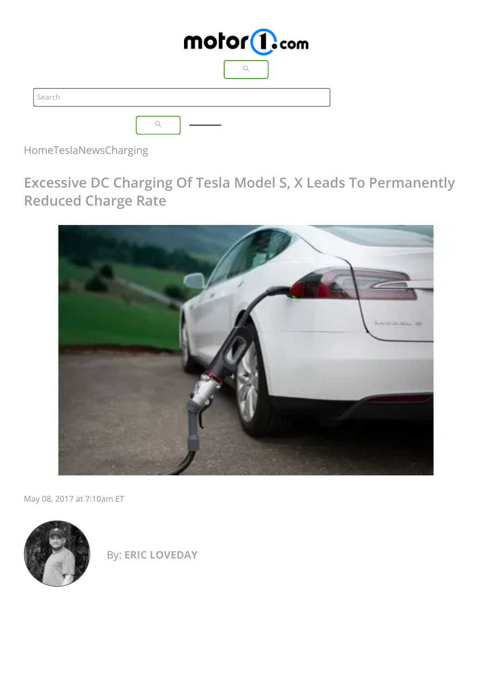|        | motor <sup>1</sup> .com |
|--------|-------------------------|
|        |                         |
| Search |                         |
|        |                         |

[Home](https://insideevs.com/)[Tesla](https://insideevs.com/tesla/)[News](https://insideevs.com/tesla/news/)[Charging](https://insideevs.com/tesla/news/category/charging/)

**Excessive DC Charging Of Tesla Model S, X Leads To Permanently Reduced Charge Rate**



May 08, 2017 at 7:10am ET



By: **ERIC [LOVEDAY](https://insideevs.com/info/team/eric-loveday/)**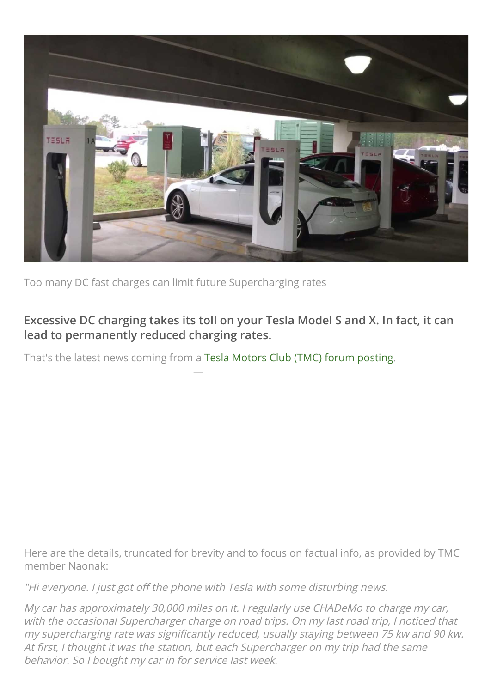

Too many DC fast charges can limit future Supercharging rates

# **Excessive DC charging takes its toll on your Tesla Model S and X. In fact, it can lead to permanently reduced charging rates.**

That's the latest news coming from a Tesla Motors Club (TMC) forum [posting.](https://teslamotorsclub.com/tmc/threads/if-you-fast-charge-tesla-will-permanently-throttle-charging.90230/)

Here are the details, truncated for brevity and to focus on factual info, as provided by TMC member Naonak:

"Hi everyone. I just got off the phone with Tesla with some disturbing news.

My car has approximately 30,000 miles on it. I regularly use CHADeMo to charge my car, with the occasional Supercharger charge on road trips. On my last road trip, I noticed that my supercharging rate was significantly reduced, usually staying between 75 kw and 90 kw. At first, I thought it was the station, but each Supercharger on my trip had the same behavior. So I bought my car in for service last week.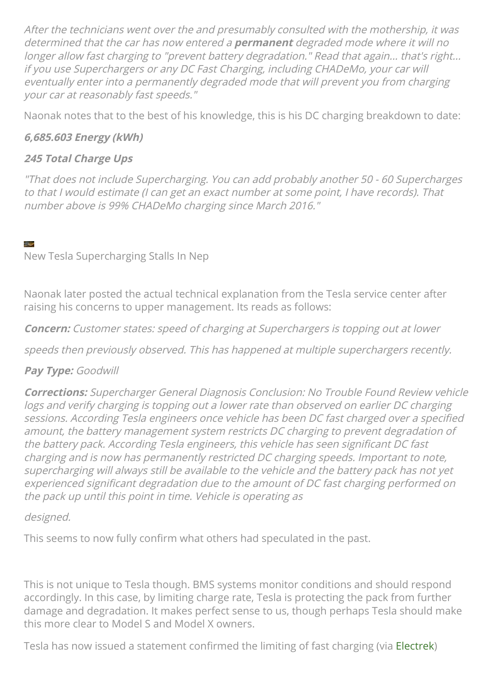After the technicians went over the and presumably consulted with the mothership, it was determined that the car has now entered <sup>a</sup> **permanent** degraded mode where it will no longer allow fast charging to "prevent battery degradation." Read that again... that's right... if you use Superchargers or any DC Fast Charging, including CHADeMo, your car will eventually enter into <sup>a</sup> permanently degraded mode that will prevent you from charging your car at reasonably fast speeds."

Naonak notes that to the best of his knowledge, this is his DC charging breakdown to date:

## **6,685.603 Energy (kWh)**

### **245 Total Charge Ups**

"That does not include Supercharging. You can add probably another 50 - 60 Supercharges to that I would estimate (I can get an exact number at some point, I have records). That number above is 99% CHADeMo charging since March 2016."

New Tesla Supercharging Stalls In Nep

Naonak later posted the actual technical explanation from the Tesla service center after raising his concerns to upper management. Its reads as follows:

**Concern:** Customer states: speed of charging at Superchargers is topping out at lower

speeds then previously observed. This has happened at multiple superchargers recently.

#### **Pay Type:** Goodwill

**Corrections:** Supercharger General Diagnosis Conclusion: No Trouble Found Review vehicle logs and verify charging is topping out <sup>a</sup> lower rate than observed on earlier DC charging sessions. According Tesla engineers once vehicle has been DC fast charged over a specified amount, the battery management system restricts DC charging to prevent degradation of the battery pack. According Tesla engineers, this vehicle has seen significant DC fast charging and is now has permanently restricted DC charging speeds. Important to note, supercharging will always still be available to the vehicle and the battery pack has not yet experienced significant degradation due to the amount of DC fast charging performed on the pack up until this point in time. Vehicle is operating as

#### designed.

This seems to now fully confirm what others had speculated in the past.

This is not unique to Tesla though. BMS systems monitor conditions and should respond accordingly. In this case, by limiting charge rate, Tesla is protecting the pack from further damage and degradation. It makes perfect sense to us, though perhaps Tesla should make this more clear to Model S and Model X owners.

Tesla has now issued a statement confirmed the limiting of fast charging (via [Electrek\)](https://electrek.co/2017/05/07/tesla-limits-supercharging-speed-number-charges/)